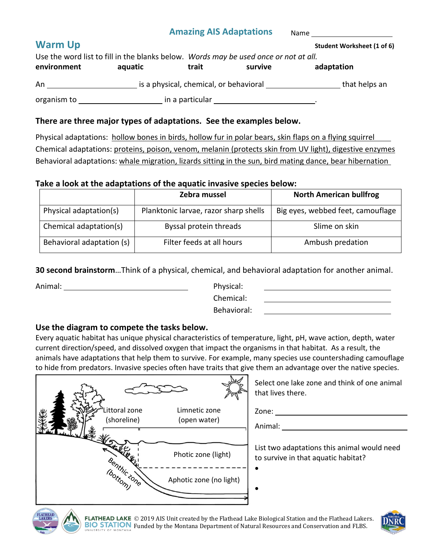Name <u>\_\_\_\_\_\_\_\_\_</u>

| <b>Warm Up</b>                                                                       |         |                                        |                                                                                                                 | Student Worksheet (1 of 6) |
|--------------------------------------------------------------------------------------|---------|----------------------------------------|-----------------------------------------------------------------------------------------------------------------|----------------------------|
| Use the word list to fill in the blanks below. Words may be used once or not at all. |         |                                        |                                                                                                                 |                            |
| environment                                                                          | aquatic | trait                                  | survive                                                                                                         | adaptation                 |
| An                                                                                   |         | is a physical, chemical, or behavioral |                                                                                                                 | that helps an              |
| organism to ____________                                                             |         |                                        | in a particular experience of the state of the state of the state of the state of the state of the state of the |                            |

## **There are three major types of adaptations. See the examples below.**

Physical adaptations: hollow bones in birds, hollow fur in polar bears, skin flaps on a flying squirrel Chemical adaptations: proteins, poison, venom, melanin (protects skin from UV light), digestive enzymes Behavioral adaptations: whale migration, lizards sitting in the sun, bird mating dance, bear hibernation

#### **Take a look at the adaptations of the aquatic invasive species below:**

|                           | Zebra mussel                          | <b>North American bullfrog</b>    |  |
|---------------------------|---------------------------------------|-----------------------------------|--|
| Physical adaptation(s)    | Planktonic larvae, razor sharp shells | Big eyes, webbed feet, camouflage |  |
| Chemical adaptation(s)    | Byssal protein threads                | Slime on skin                     |  |
| Behavioral adaptation (s) | Filter feeds at all hours             | Ambush predation                  |  |

**30 second brainstorm**…Think of a physical, chemical, and behavioral adaptation for another animal.

Animal: Physical:

Chemical:

Behavioral:

#### **Use the diagram to compete the tasks below.**

Every aquatic habitat has unique physical characteristics of temperature, light, pH, wave action, depth, water current direction/speed, and dissolved oxygen that impact the organisms in that habitat. As a result, the animals have adaptations that help them to survive. For example, many species use countershading camouflage to hide from predators. Invasive species often have traits that give them an advantage over the native species.



Select one lake zone and think of one animal that lives there.

Zone:

 $\bullet$ 

 $\bullet$ 

Animal:

List two adaptations this animal would need to survive in that aquatic habitat?







FLATHEAD LAKE © 2019 AIS Unit created by the Flathead Lake Biological Station and the Flathead Lakers. **BIO STATION** Funded by the Montana Department of Natural Resources and Conservation and FLBS.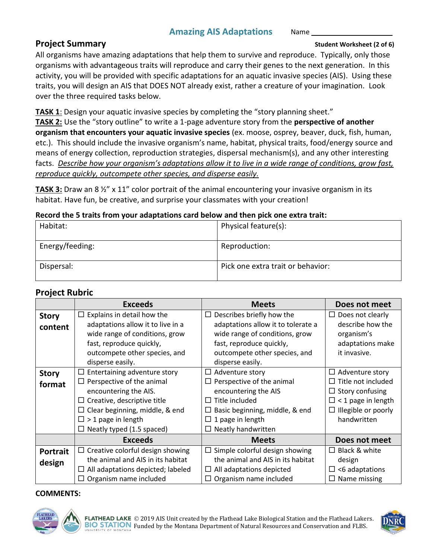#### **Project Summary Student Worksheet (2 of 6)**

All organisms have amazing adaptations that help them to survive and reproduce. Typically, only those organisms with advantageous traits will reproduce and carry their genes to the next generation. In this activity, you will be provided with specific adaptations for an aquatic invasive species (AIS). Using these traits, you will design an AIS that DOES NOT already exist, rather a creature of your imagination. Look over the three required tasks below.

**TASK 1**: Design your aquatic invasive species by completing the "story planning sheet."

**TASK 2:** Use the "story outline" to write a 1-page adventure story from the **perspective of another organism that encounters your aquatic invasive species** (ex. moose, osprey, beaver, duck, fish, human, etc.). This should include the invasive organism's name, habitat, physical traits, food/energy source and means of energy collection, reproduction strategies, dispersal mechanism(s), and any other interesting facts. *Describe how your organism's adaptations allow it to live in a wide range of conditions, grow fast, reproduce quickly, outcompete other species, and disperse easily.*

**TASK 3:** Draw an 8  $\frac{1}{2}$  x 11" color portrait of the animal encountering your invasive organism in its habitat. Have fun, be creative, and surprise your classmates with your creation!

#### **Record the 5 traits from your adaptations card below and then pick one extra trait:**

| Habitat:        | Physical feature(s):              |
|-----------------|-----------------------------------|
| Energy/feeding: | Reproduction:                     |
| Dispersal:      | Pick one extra trait or behavior: |

#### **Project Rubric**

|                 | <b>Exceeds</b>                          | <b>Meets</b>                             | Does not meet              |
|-----------------|-----------------------------------------|------------------------------------------|----------------------------|
| <b>Story</b>    | Explains in detail how the<br>$\Box$    | $\Box$ Describes briefly how the         | $\Box$ Does not clearly    |
| content         | adaptations allow it to live in a       | adaptations allow it to tolerate a       | describe how the           |
|                 | wide range of conditions, grow          | wide range of conditions, grow           | organism's                 |
|                 | fast, reproduce quickly,                | fast, reproduce quickly,                 | adaptations make           |
|                 | outcompete other species, and           | outcompete other species, and            | it invasive.               |
|                 | disperse easily.                        | disperse easily.                         |                            |
| <b>Story</b>    | Entertaining adventure story<br>$\Box$  | $\Box$ Adventure story                   | $\Box$ Adventure story     |
| format          | $\Box$ Perspective of the animal        | $\Box$ Perspective of the animal         | Title not included<br>ப    |
|                 | encountering the AIS.                   | encountering the AIS                     | $\Box$ Story confusing     |
|                 | $\Box$ Creative, descriptive title      | $\Box$ Title included                    | $\Box$ < 1 page in length  |
|                 | $\Box$ Clear beginning, middle, & end   | Basic beginning, middle, & end<br>$\Box$ | $\Box$ Illegible or poorly |
|                 | $\square$ > 1 page in length            | $\Box$ 1 page in length                  | handwritten                |
|                 | $\Box$ Neatly typed (1.5 spaced)        | $\Box$ Neatly handwritten                |                            |
|                 | <b>Exceeds</b>                          | <b>Meets</b>                             | Does not meet              |
| <b>Portrait</b> | $\Box$ Creative colorful design showing | $\Box$ Simple colorful design showing    | $\Box$ Black & white       |
| design          | the animal and AIS in its habitat       | the animal and AIS in its habitat        | design                     |
|                 | All adaptations depicted; labeled<br>ப  | $\Box$ All adaptations depicted          | <6 adaptations<br>$\Box$   |
|                 | $\Box$ Organism name included           | $\Box$ Organism name included            | $\Box$ Name missing        |

#### **COMMENTS:**



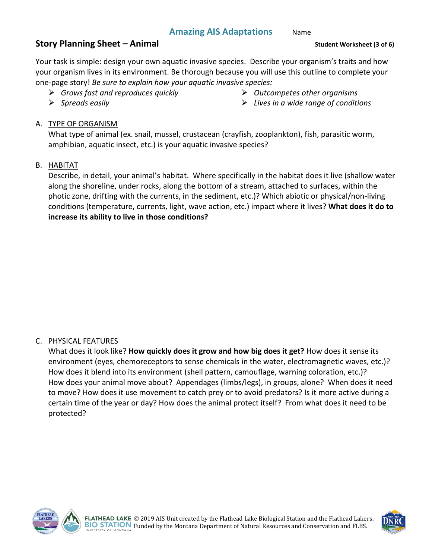Name

# **Story Planning Sheet – Animal Student Worksheet (3 of 6)**

Your task is simple: design your own aquatic invasive species. Describe your organism's traits and how your organism lives in its environment. Be thorough because you will use this outline to complete your one-page story! *Be sure to explain how your aquatic invasive species:* 

*Grows fast and reproduces quickly*

*Outcompetes other organisms*

*Spreads easily*

*Lives in a wide range of conditions*

# A. TYPE OF ORGANISM

What type of animal (ex. snail, mussel, crustacean (crayfish, zooplankton), fish, parasitic worm, amphibian, aquatic insect, etc.) is your aquatic invasive species?

# B. HABITAT

Describe, in detail, your animal's habitat. Where specifically in the habitat does it live (shallow water along the shoreline, under rocks, along the bottom of a stream, attached to surfaces, within the photic zone, drifting with the currents, in the sediment, etc.)? Which abiotic or physical/non-living conditions (temperature, currents, light, wave action, etc.) impact where it lives? **What does it do to increase its ability to live in those conditions?**

## C. PHYSICAL FEATURES

What does it look like? **How quickly does it grow and how big does it get?** How does it sense its environment (eyes, chemoreceptors to sense chemicals in the water, electromagnetic waves, etc.)? How does it blend into its environment (shell pattern, camouflage, warning coloration, etc.)? How does your animal move about? Appendages (limbs/legs), in groups, alone? When does it need to move? How does it use movement to catch prey or to avoid predators? Is it more active during a certain time of the year or day? How does the animal protect itself? From what does it need to be protected?



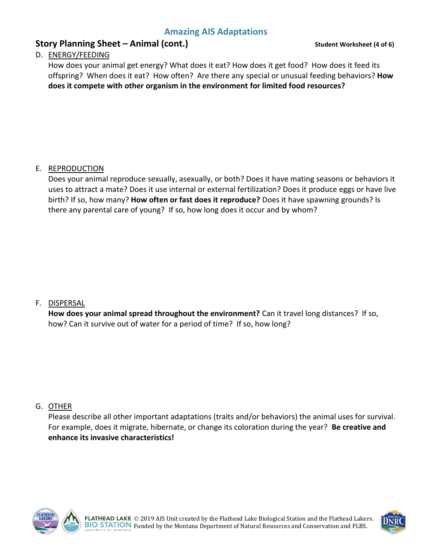# **Story Planning Sheet – Animal (cont.) Student Worksheet (4 of 6)**

### D. ENERGY/FEEDING

How does your animal get energy? What does it eat? How does it get food? How does it feed its offspring? When does it eat? How often? Are there any special or unusual feeding behaviors? **How does it compete with other organism in the environment for limited food resources?**

## E. REPRODUCTION

Does your animal reproduce sexually, asexually, or both? Does it have mating seasons or behaviors it uses to attract a mate? Does it use internal or external fertilization? Does it produce eggs or have live birth? If so, how many? **How often or fast does it reproduce?** Does it have spawning grounds? Is there any parental care of young? If so, how long does it occur and by whom?

#### F. DISPERSAL

**How does your animal spread throughout the environment?** Can it travel long distances? If so, how? Can it survive out of water for a period of time? If so, how long?

#### G. OTHER

Please describe all other important adaptations (traits and/or behaviors) the animal uses for survival. For example, does it migrate, hibernate, or change its coloration during the year? **Be creative and enhance its invasive characteristics!**



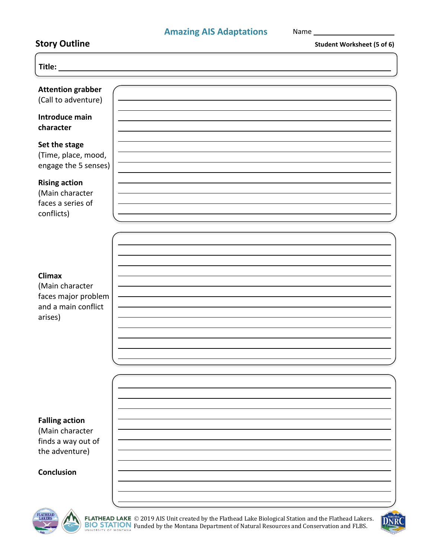| <b>Story Outline</b>                                                                      | <b>Student Worksheet (5 of 6)</b>                                                                                                                                                                             |
|-------------------------------------------------------------------------------------------|---------------------------------------------------------------------------------------------------------------------------------------------------------------------------------------------------------------|
| Title:                                                                                    |                                                                                                                                                                                                               |
| <b>Attention grabber</b><br>(Call to adventure)                                           |                                                                                                                                                                                                               |
| Introduce main<br>character                                                               |                                                                                                                                                                                                               |
| Set the stage<br>(Time, place, mood,<br>engage the 5 senses)                              |                                                                                                                                                                                                               |
| <b>Rising action</b><br>(Main character<br>faces a series of<br>conflicts)                |                                                                                                                                                                                                               |
| <b>Climax</b><br>(Main character<br>faces major problem<br>and a main conflict<br>arises) |                                                                                                                                                                                                               |
|                                                                                           |                                                                                                                                                                                                               |
| <b>Falling action</b><br>(Main character<br>finds a way out of<br>the adventure)          |                                                                                                                                                                                                               |
| Conclusion                                                                                |                                                                                                                                                                                                               |
| <b>FLATHEAD</b><br>LAKERS                                                                 | FLATHEAD LAKE © 2019 AIS Unit created by the Flathead Lake Biological Station and the Flathead Lakers.<br><b>BIO STATION</b> Funded by the Montana Department of Natural Resources and Conservation and FLBS. |